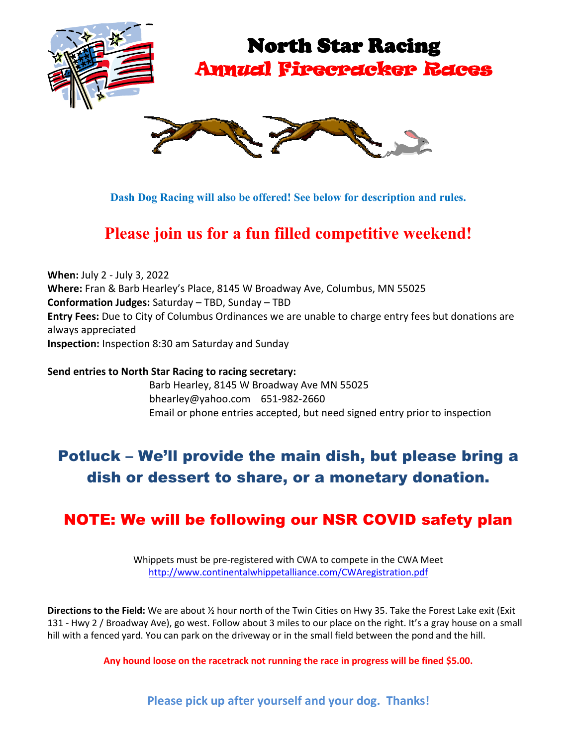

# North Star Racing Annual Firecracker Races



**Dash Dog Racing will also be offered! See below for description and rules.**

# **Please join us for a fun filled competitive weekend!**

**When:** July 2 - July 3, 2022 **Where:** Fran & Barb Hearley's Place, 8145 W Broadway Ave, Columbus, MN 55025 **Conformation Judges:** Saturday – TBD, Sunday – TBD **Entry Fees:** Due to City of Columbus Ordinances we are unable to charge entry fees but donations are always appreciated **Inspection:** Inspection 8:30 am Saturday and Sunday

**Send entries to North Star Racing to racing secretary:** Barb Hearley, 8145 W Broadway Ave MN 55025 bhearley@yahoo.com 651-982-2660 Email or phone entries accepted, but need signed entry prior to inspection

### Potluck – We'll provide the main dish, but please bring a dish or dessert to share, or a monetary donation.

#### NOTE: We will be following our NSR COVID safety plan

Whippets must be pre-registered with CWA to compete in the CWA Meet <http://www.continentalwhippetalliance.com/CWAregistration.pdf>

**Directions to the Field:** We are about ½ hour north of the Twin Cities on Hwy 35. Take the Forest Lake exit (Exit 131 - Hwy 2 / Broadway Ave), go west. Follow about 3 miles to our place on the right. It's a gray house on a small hill with a fenced yard. You can park on the driveway or in the small field between the pond and the hill.

**Any hound loose on the racetrack not running the race in progress will be fined \$5.00.**

**Please pick up after yourself and your dog. Thanks!**